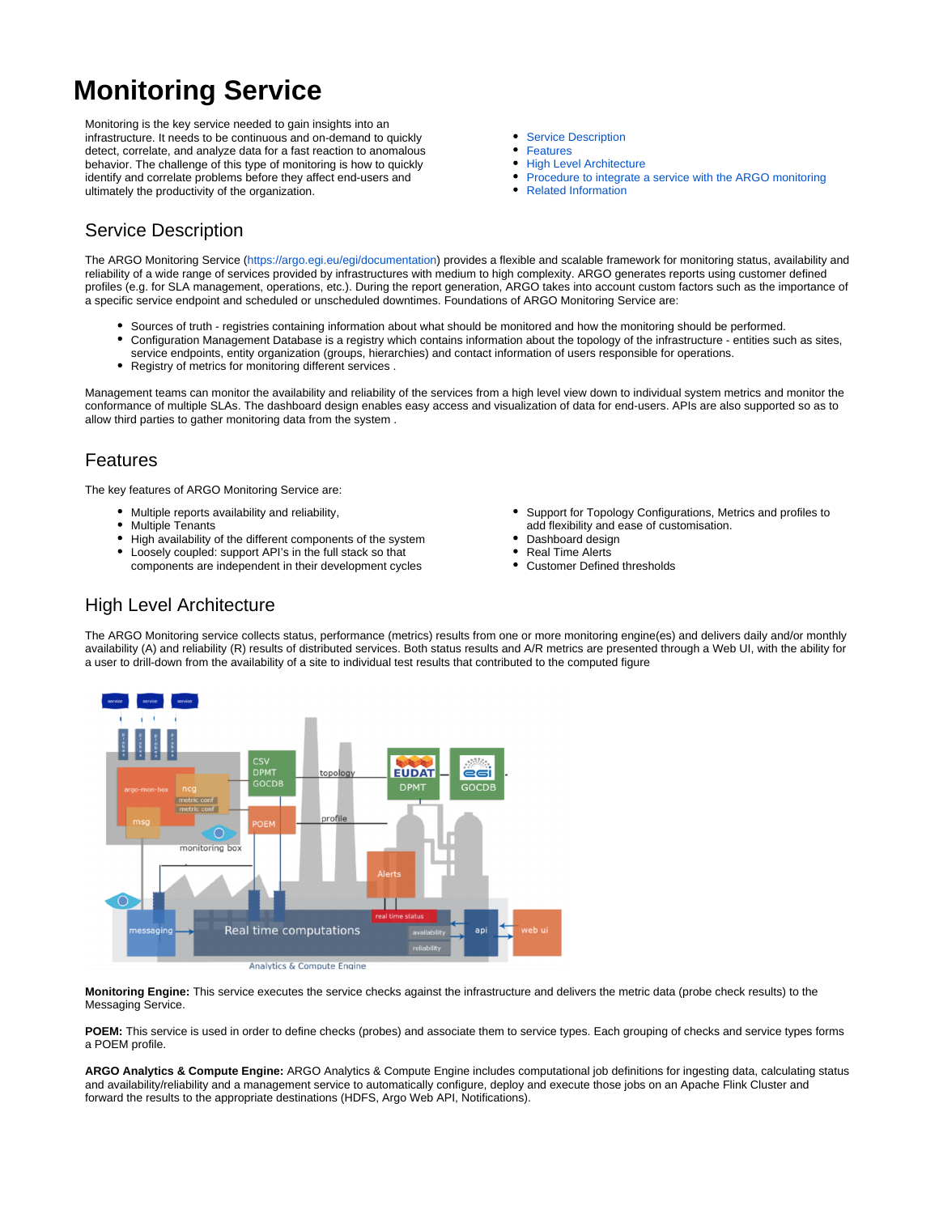# **Monitoring Service**

Monitoring is the key service needed to gain insights into an infrastructure. It needs to be continuous and on-demand to quickly detect, correlate, and analyze data for a fast reaction to anomalous behavior. The challenge of this type of monitoring is how to quickly identify and correlate problems before they affect end-users and ultimately the productivity of the organization.

- $\bullet$ [Service Description](#page-0-0)
- $\bullet$ [Features](#page-0-1)
- $\bullet$ [High Level Architecture](#page-0-2)
- $\bullet$ [Procedure to integrate a service with the ARGO monitoring](#page-1-0)
- [Related Information](#page-1-1)

### <span id="page-0-0"></span>Service Description

The ARGO Monitoring Service [\(https://argo.egi.eu/egi/documentation\)](https://argo.egi.eu/egi/documentation) provides a flexible and scalable framework for monitoring status, availability and reliability of a wide range of services provided by infrastructures with medium to high complexity. ARGO generates reports using customer defined profiles (e.g. for SLA management, operations, etc.). During the report generation, ARGO takes into account custom factors such as the importance of a specific service endpoint and scheduled or unscheduled downtimes. Foundations of ARGO Monitoring Service are:

- Sources of truth registries containing information about what should be monitored and how the monitoring should be performed. Configuration Management Database is a registry which contains information about the topology of the infrastructure - entities such as sites,  $\bullet$
- service endpoints, entity organization (groups, hierarchies) and contact information of users responsible for operations.
	- Registry of metrics for monitoring different services .

Management teams can monitor the availability and reliability of the services from a high level view down to individual system metrics and monitor the conformance of multiple SLAs. The dashboard design enables easy access and visualization of data for end-users. APIs are also supported so as to allow third parties to gather monitoring data from the system .

#### <span id="page-0-1"></span>Features

The key features of ARGO Monitoring Service are:

- Multiple reports availability and reliability,
- Multiple Tenants
- High availability of the different components of the system
- Loosely coupled: support API's in the full stack so that components are independent in their development cycles
- Support for Topology Configurations, Metrics and profiles to add flexibility and ease of customisation.
- Dashboard design
- Real Time Alerts
- $\bullet$ Customer Defined thresholds

#### <span id="page-0-2"></span>High Level Architecture

The ARGO Monitoring service collects status, performance (metrics) results from one or more monitoring engine(es) and delivers daily and/or monthly availability (A) and reliability (R) results of distributed services. Both status results and A/R metrics are presented through a Web UI, with the ability for a user to drill-down from the availability of a site to individual test results that contributed to the computed figure



Analytics & Compute Engine

**Monitoring Engine:** This service executes the service checks against the infrastructure and delivers the metric data (probe check results) to the Messaging Service.

**POEM:** This service is used in order to define checks (probes) and associate them to service types. Each grouping of checks and service types forms a POEM profile.

**ARGO Analytics & Compute Engine:** ARGO Analytics & Compute Engine includes computational job definitions for ingesting data, calculating status and availability/reliability and a management service to automatically configure, deploy and execute those jobs on an Apache Flink Cluster and forward the results to the appropriate destinations (HDFS, Argo Web API, Notifications).